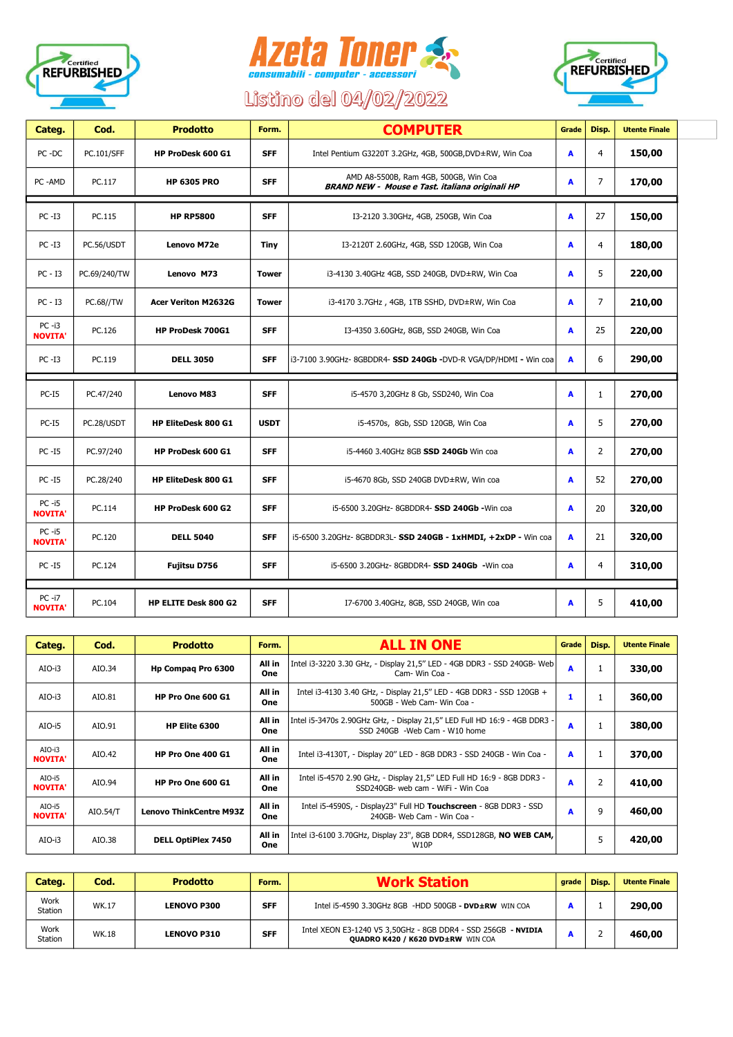





## Listino del 04/02/2022

| Categ.                     | Cod.             | <b>Prodotto</b>            | Form.        | <b>COMPUTER</b>                                                                          | Grade | Disp.          | <b>Utente Finale</b> |
|----------------------------|------------------|----------------------------|--------------|------------------------------------------------------------------------------------------|-------|----------------|----------------------|
| PC-DC                      | PC.101/SFF       | HP ProDesk 600 G1          | <b>SFF</b>   | Intel Pentium G3220T 3.2GHz, 4GB, 500GB, DVD±RW, Win Coa                                 | A     | 4              | 150,00               |
| PC-AMD                     | PC.117           | <b>HP 6305 PRO</b>         | <b>SFF</b>   | AMD A8-5500B, Ram 4GB, 500GB, Win Coa<br>BRAND NEW - Mouse e Tast. italiana originali HP | A     | $\overline{7}$ | 170,00               |
| $PC - I3$                  | PC.115           | <b>HP RP5800</b>           | <b>SFF</b>   | I3-2120 3.30GHz, 4GB, 250GB, Win Coa                                                     | A     | 27             | 150,00               |
| PC -I3                     | PC.56/USDT       | Lenovo M72e                | <b>Tiny</b>  | I3-2120T 2.60GHz, 4GB, SSD 120GB, Win Coa                                                | A     | 4              | 180,00               |
| $PC - I3$                  | PC.69/240/TW     | Lenovo M73                 | <b>Tower</b> | i3-4130 3.40GHz 4GB, SSD 240GB, DVD±RW, Win Coa                                          | A     | 5              | 220,00               |
| $PC - I3$                  | <b>PC.68//TW</b> | <b>Acer Veriton M2632G</b> | <b>Tower</b> | i3-4170 3.7GHz, 4GB, 1TB SSHD, DVD±RW, Win Coa                                           | A     | $\overline{7}$ | 210,00               |
| $PC -i3$<br><b>NOVITA'</b> | PC.126           | <b>HP ProDesk 700G1</b>    | <b>SFF</b>   | I3-4350 3.60GHz, 8GB, SSD 240GB, Win Coa                                                 | A     | 25             | 220,00               |
| $PC - I3$                  | PC.119           | <b>DELL 3050</b>           | <b>SFF</b>   | i3-7100 3.90GHz- 8GBDDR4- SSD 240Gb -DVD-R VGA/DP/HDMI - Win coa                         | A     | 6              | 290,00               |
| $PC-I5$                    | PC.47/240        | <b>Lenovo M83</b>          | <b>SFF</b>   | i5-4570 3,20GHz 8 Gb, SSD240, Win Coa                                                    | A     | $\mathbf{1}$   | 270,00               |
| $PC-I5$                    | PC.28/USDT       | HP EliteDesk 800 G1        | <b>USDT</b>  | i5-4570s, 8Gb, SSD 120GB, Win Coa                                                        | A     | 5              | 270,00               |
| PC -15                     | PC.97/240        | HP ProDesk 600 G1          | <b>SFF</b>   | i5-4460 3.40GHz 8GB SSD 240Gb Win coa                                                    | A     | 2              | 270,00               |
| <b>PC -15</b>              | PC.28/240        | HP EliteDesk 800 G1        | <b>SFF</b>   | i5-4670 8Gb, SSD 240GB DVD±RW, Win coa                                                   | A     | 52             | 270,00               |
| $PC -i5$<br><b>NOVITA'</b> | PC.114           | HP ProDesk 600 G2          | <b>SFF</b>   | i5-6500 3.20GHz- 8GBDDR4- SSD 240Gb - Win coa                                            | A     | 20             | 320,00               |
| $PC -i5$<br><b>NOVITA'</b> | PC.120           | <b>DELL 5040</b>           | <b>SFF</b>   | i5-6500 3.20GHz- 8GBDDR3L- SSD 240GB - 1xHMDI, +2xDP - Win coa                           | A     | 21             | 320,00               |
| $PC - I5$                  | PC.124           | Fujitsu D756               | <b>SFF</b>   | i5-6500 3.20GHz- 8GBDDR4- SSD 240Gb -Win coa                                             | A     | 4              | 310,00               |
| $PC -i7$<br><b>NOVITA'</b> | PC.104           | HP ELITE Desk 800 G2       | <b>SFF</b>   | I7-6700 3.40GHz, 8GB, SSD 240GB, Win coa                                                 | A     | 5              | 410,00               |

| Categ.                     | Cod.     | <b>Prodotto</b>                | Form.                | <b>ALL IN ONE</b>                                                                                           | Grade | Disp. | <b>Utente Finale</b> |
|----------------------------|----------|--------------------------------|----------------------|-------------------------------------------------------------------------------------------------------------|-------|-------|----------------------|
| AIO-i3                     | AIO.34   | Hp Compaq Pro 6300             | All in<br>One        | Intel i3-3220 3.30 GHz, - Display 21,5" LED - 4GB DDR3 - SSD 240GB- Web<br>Cam- Win Coa -                   | A     | 1     | 330,00               |
| AIO-i3                     | AIO.81   | <b>HP Pro One 600 G1</b>       | All in<br>One        | Intel i3-4130 3.40 GHz, - Display 21,5" LED - 4GB DDR3 - SSD 120GB +<br>500GB - Web Cam- Win Coa -          | 1     |       | 360,00               |
| AIO-i5                     | AIO.91   | HP Elite 6300                  | All in<br><b>One</b> | Intel i5-3470s 2.90GHz GHz, - Display 21,5" LED Full HD 16:9 - 4GB DDR3 -<br>SSD 240GB - Web Cam - W10 home | A     | 1     | 380,00               |
| $AIO-i3$<br><b>NOVITA'</b> | AIO.42   | HP Pro One 400 G1              | All in<br>One        | Intel i3-4130T, - Display 20" LED - 8GB DDR3 - SSD 240GB - Win Coa -                                        | A     | 1     | 370,00               |
| AIO-i5<br><b>NOVITA'</b>   | AIO.94   | <b>HP Pro One 600 G1</b>       | All in<br>One        | Intel i5-4570 2.90 GHz, - Display 21,5" LED Full HD 16:9 - 8GB DDR3 -<br>SSD240GB- web cam - WiFi - Win Coa | A     | 2     | 410,00               |
| AIO-i5<br><b>NOVITA'</b>   | AIO.54/T | <b>Lenovo ThinkCentre M93Z</b> | All in<br>One        | Intel i5-4590S, - Display23" Full HD Touchscreen - 8GB DDR3 - SSD<br>240GB- Web Cam - Win Coa -             | A     | 9     | 460,00               |
| $AIO-i3$                   | AIO.38   | <b>DELL OptiPlex 7450</b>      | All in<br>One        | Intel i3-6100 3.70GHz, Display 23", 8GB DDR4, SSD128GB, NO WEB CAM,<br>W10P                                 |       | 5     | 420,00               |

| Categ.          | Cod.         | <b>Prodotto</b>    | Form.      | <b>Work Station</b>                                                                                | arade | Disp. | <b>Utente Finale</b> |
|-----------------|--------------|--------------------|------------|----------------------------------------------------------------------------------------------------|-------|-------|----------------------|
| Work<br>Station | <b>WK.17</b> | <b>LENOVO P300</b> | <b>SFF</b> | Intel i5-4590 3.30GHz 8GB -HDD 500GB - DVD $\pm$ RW WINCOA                                         |       |       | 290,00               |
| Work<br>Station | <b>WK.18</b> | <b>LENOVO P310</b> | <b>SFF</b> | Intel XEON E3-1240 V5 3,50GHz - 8GB DDR4 - SSD 256GB - NVIDIA<br>QUADRO K420 / K620 DVD±RW WIN COA |       |       | 460,00               |